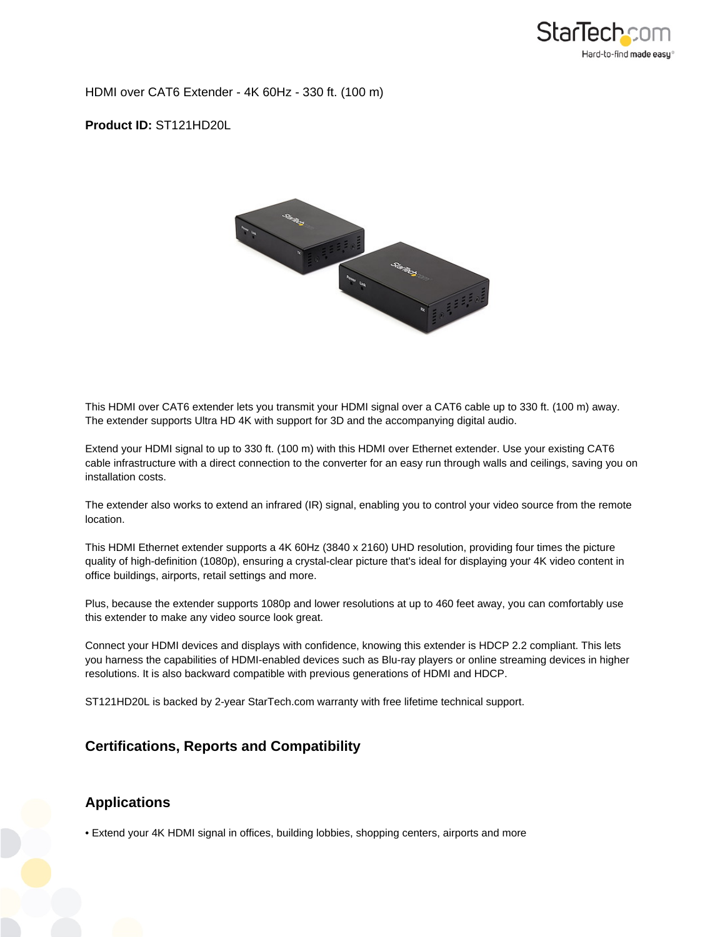

HDMI over CAT6 Extender - 4K 60Hz - 330 ft. (100 m)

**Product ID:** ST121HD20L



This HDMI over CAT6 extender lets you transmit your HDMI signal over a CAT6 cable up to 330 ft. (100 m) away. The extender supports Ultra HD 4K with support for 3D and the accompanying digital audio.

Extend your HDMI signal to up to 330 ft. (100 m) with this HDMI over Ethernet extender. Use your existing CAT6 cable infrastructure with a direct connection to the converter for an easy run through walls and ceilings, saving you on installation costs.

The extender also works to extend an infrared (IR) signal, enabling you to control your video source from the remote location.

This HDMI Ethernet extender supports a 4K 60Hz (3840 x 2160) UHD resolution, providing four times the picture quality of high-definition (1080p), ensuring a crystal-clear picture that's ideal for displaying your 4K video content in office buildings, airports, retail settings and more.

Plus, because the extender supports 1080p and lower resolutions at up to 460 feet away, you can comfortably use this extender to make any video source look great.

Connect your HDMI devices and displays with confidence, knowing this extender is HDCP 2.2 compliant. This lets you harness the capabilities of HDMI-enabled devices such as Blu-ray players or online streaming devices in higher resolutions. It is also backward compatible with previous generations of HDMI and HDCP.

ST121HD20L is backed by 2-year StarTech.com warranty with free lifetime technical support.

## **Certifications, Reports and Compatibility**

## **Applications**

• Extend your 4K HDMI signal in offices, building lobbies, shopping centers, airports and more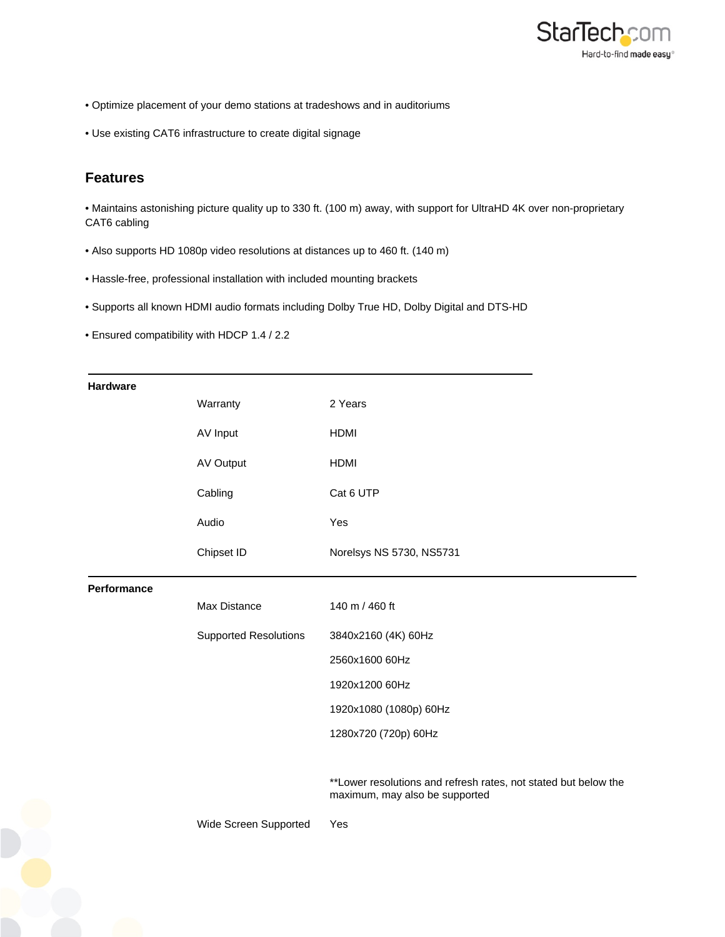

- Optimize placement of your demo stations at tradeshows and in auditoriums
- Use existing CAT6 infrastructure to create digital signage

## **Features**

• Maintains astonishing picture quality up to 330 ft. (100 m) away, with support for UltraHD 4K over non-proprietary CAT6 cabling

- Also supports HD 1080p video resolutions at distances up to 460 ft. (140 m)
- Hassle-free, professional installation with included mounting brackets
- Supports all known HDMI audio formats including Dolby True HD, Dolby Digital and DTS-HD
- Ensured compatibility with HDCP 1.4 / 2.2

| <b>Hardware</b> |                              |                                                                                                   |
|-----------------|------------------------------|---------------------------------------------------------------------------------------------------|
|                 | Warranty                     | 2 Years                                                                                           |
|                 | AV Input                     | <b>HDMI</b>                                                                                       |
|                 | <b>AV Output</b>             | <b>HDMI</b>                                                                                       |
|                 | Cabling                      | Cat 6 UTP                                                                                         |
|                 | Audio                        | Yes                                                                                               |
|                 | Chipset ID                   | Norelsys NS 5730, NS5731                                                                          |
| Performance     |                              |                                                                                                   |
|                 | Max Distance                 | 140 m / 460 ft                                                                                    |
|                 | <b>Supported Resolutions</b> | 3840x2160 (4K) 60Hz                                                                               |
|                 |                              | 2560x1600 60Hz                                                                                    |
|                 |                              | 1920x1200 60Hz                                                                                    |
|                 |                              | 1920x1080 (1080p) 60Hz                                                                            |
|                 |                              | 1280x720 (720p) 60Hz                                                                              |
|                 |                              |                                                                                                   |
|                 |                              | **Lower resolutions and refresh rates, not stated but below the<br>maximum, may also be supported |
|                 | Wide Screen Supported        | Yes                                                                                               |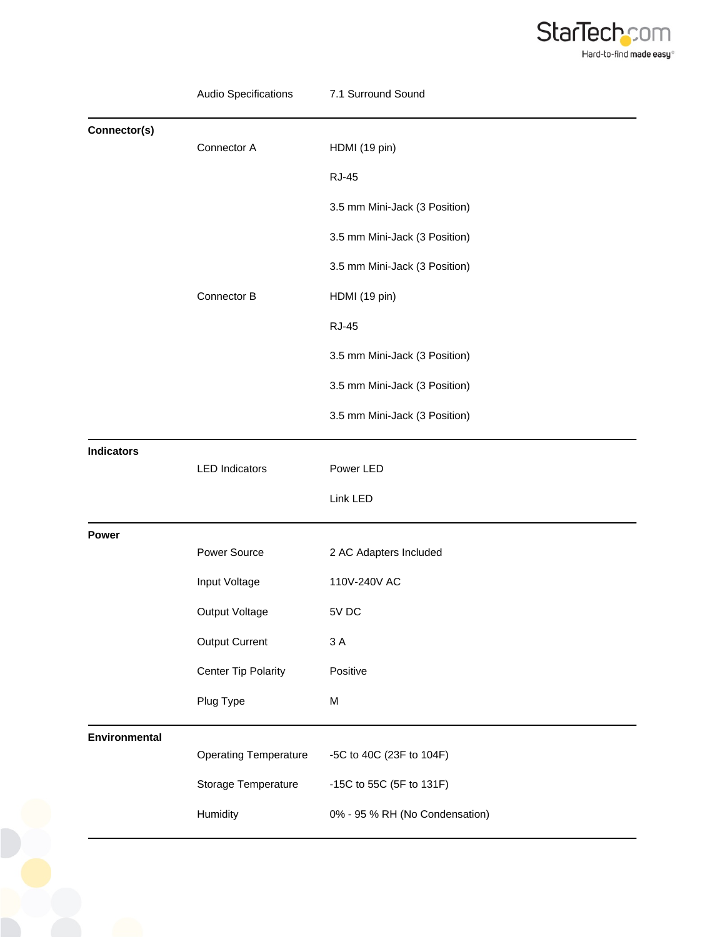

|                   | Audio Specifications         | 7.1 Surround Sound             |
|-------------------|------------------------------|--------------------------------|
| Connector(s)      |                              |                                |
|                   | Connector A                  | HDMI (19 pin)                  |
|                   |                              | <b>RJ-45</b>                   |
|                   |                              | 3.5 mm Mini-Jack (3 Position)  |
|                   |                              | 3.5 mm Mini-Jack (3 Position)  |
|                   |                              | 3.5 mm Mini-Jack (3 Position)  |
|                   | Connector B                  | HDMI (19 pin)                  |
|                   |                              | <b>RJ-45</b>                   |
|                   |                              | 3.5 mm Mini-Jack (3 Position)  |
|                   |                              | 3.5 mm Mini-Jack (3 Position)  |
|                   |                              | 3.5 mm Mini-Jack (3 Position)  |
| <b>Indicators</b> |                              |                                |
|                   | <b>LED Indicators</b>        | Power LED                      |
|                   |                              | Link LED                       |
| Power             |                              |                                |
|                   | Power Source                 | 2 AC Adapters Included         |
|                   | Input Voltage                | 110V-240V AC                   |
|                   | Output Voltage               | 5V DC                          |
|                   | <b>Output Current</b>        | 3A                             |
|                   | <b>Center Tip Polarity</b>   | Positive                       |
|                   | Plug Type                    | M                              |
| Environmental     |                              |                                |
|                   | <b>Operating Temperature</b> | -5C to 40C (23F to 104F)       |
|                   | Storage Temperature          | -15C to 55C (5F to 131F)       |
|                   | Humidity                     | 0% - 95 % RH (No Condensation) |